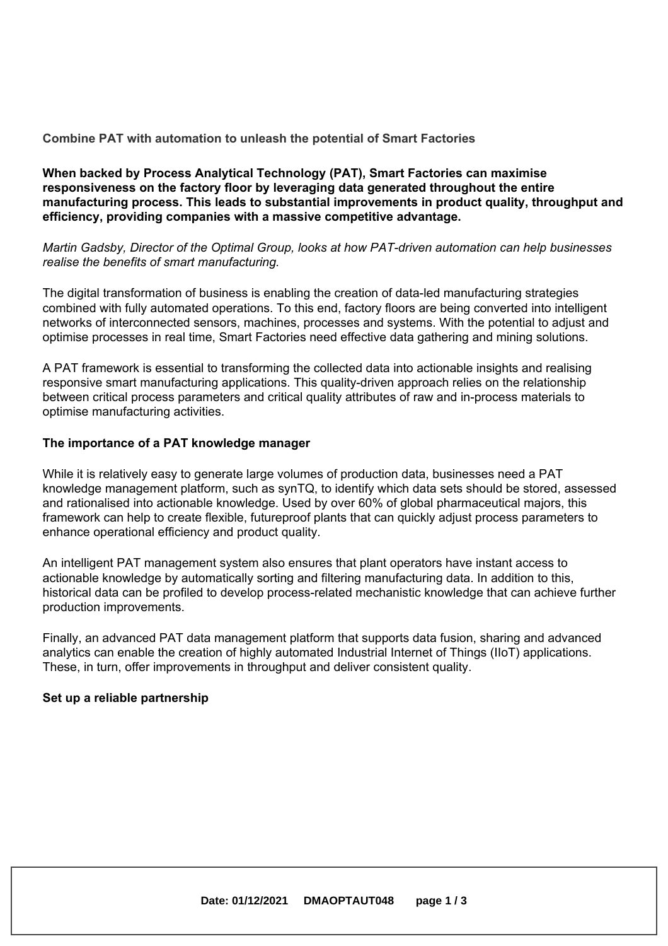### **Combine PAT with automation to unleash the potential of Smart Factories**

### **When backed by Process Analytical Technology (PAT), Smart Factories can maximise responsiveness on the factory floor by leveraging data generated throughout the entire manufacturing process. This leads to substantial improvements in product quality, throughput and efficiency, providing companies with <sup>a</sup> massive competitive advantage.**

*Martin Gadsby, Director of the Optimal Group, looks at how PAT-driven automation can help businesses realise the benefits of smart manufacturing.*

The digital transformation of business is enabling the creation of data-led manufacturing strategies combined with fully automated operations. To this end, factory floors are being converted into intelligent networks of interconnected sensors, machines, processes and systems. With the potential to adjust and optimise processes in real time, Smart Factories need effective data gathering and mining solutions.

A PAT framework is essential to transforming the collected data into actionable insights and realising responsive smart manufacturing applications. This quality-driven approach relies on the relationship between critical process parameters and critical quality attributes of raw and in-process materials to optimise manufacturing activities.

### **The importance of <sup>a</sup> PAT knowledge manager**

While it is relatively easy to generate large volumes of production data, businesses need <sup>a</sup> PAT knowledge management platform, such as synTQ, to identify which data sets should be stored, assessed and rationalised into actionable knowledge. Used by over 60% of global pharmaceutical majors, this framework can help to create flexible, futureproof plants that can quickly adjust process parameters to enhance operational efficiency and product quality.

An intelligent PAT management system also ensures that plant operators have instant access to actionable knowledge by automatically sorting and filtering manufacturing data. In addition to this, historical data can be profiled to develop process-related mechanistic knowledge that can achieve further production improvements.

Finally, an advanced PAT data management platform that supports data fusion, sharing and advanced analytics can enable the creation of highly automated Industrial Internet of Things (IIoT) applications. These, in turn, offer improvements in throughput and deliver consistent quality.

#### **Set up <sup>a</sup> reliable partnership**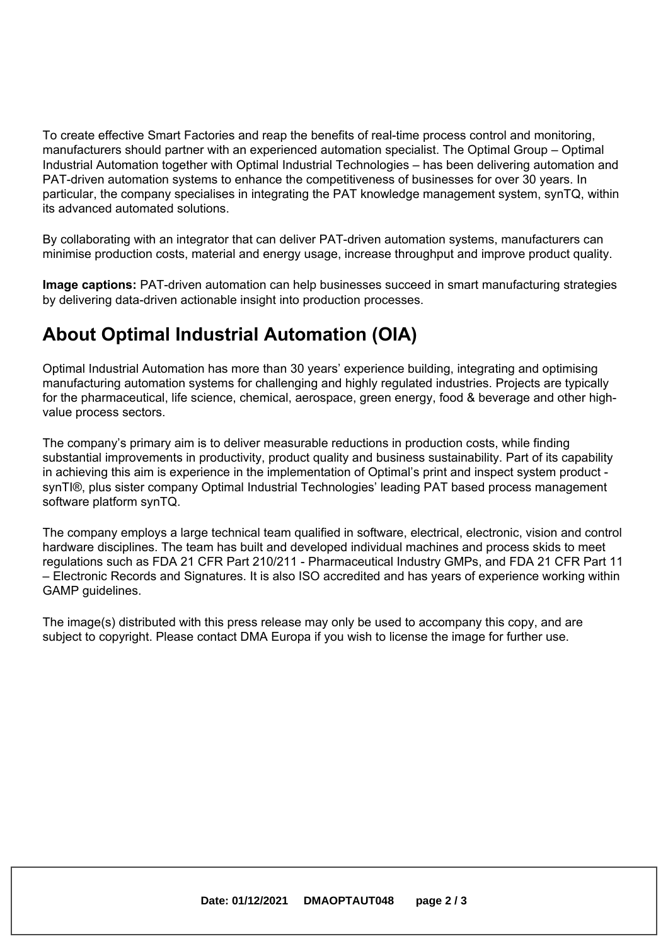To create effective Smart Factories and reap the benefits of real-time process control and monitoring, manufacturers should partner with an experienced automation specialist. The Optimal Group – Optimal Industrial Automation together with Optimal Industrial Technologies – has been delivering automation and PAT-driven automation systems to enhance the competitiveness of businesses for over 30 years. In particular, the company specialises in integrating the PAT knowledge management system, synTQ, within its advanced automated solutions.

By collaborating with an integrator that can deliver PAT-driven automation systems, manufacturers can minimise production costs, material and energy usage, increase throughput and improve product quality.

**Image captions:** PAT-driven automation can help businesses succeed in smart manufacturing strategies by delivering data-driven actionable insight into production processes.

# **About Optimal Industrial Automation (OIA)**

Optimal Industrial Automation has more than 30 years' experience building, integrating and optimising manufacturing automation systems for challenging and highly regulated industries. Projects are typically for the pharmaceutical, life science, chemical, aerospace, green energy, food & beverage and other highvalue process sectors.

The company's primary aim is to deliver measurable reductions in production costs, while finding substantial improvements in productivity, product quality and business sustainability. Part of its capability in achieving this aim is experience in the implementation of Optimal's print and inspect system product synTI®, plus sister company Optimal Industrial Technologies' leading PAT based process management software platform synTQ.

The company employs <sup>a</sup> large technical team qualified in software, electrical, electronic, vision and control hardware disciplines. The team has built and developed individual machines and process skids to meet regulations such as FDA 21 CFR Part 210/211 - Pharmaceutical Industry GMPs, and FDA 21 CFR Part 11 – Electronic Records and Signatures. It is also ISO accredited and has years of experience working within GAMP guidelines.

The image(s) distributed with this press release may only be used to accompany this copy, and are subject to copyright. Please contact DMA Europa if you wish to license the image for further use.